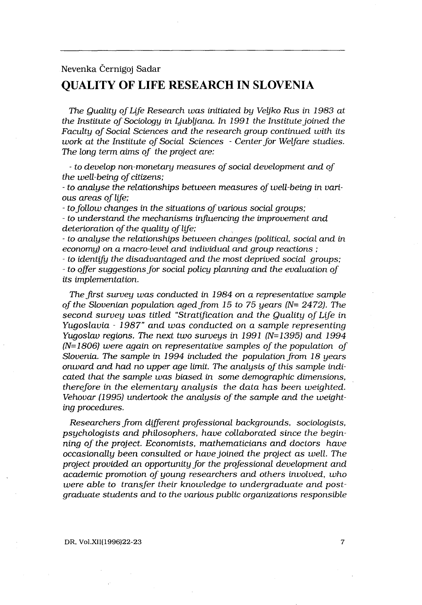# Nevenka Cernigoj Sadar QUALITY OF LIFE RESEARCH IN SLOVENIA

The Quality of Life Research was initiated by Veljko Rus in 1983 at the Institute of Sociology in Ljubljana. In 1991 the Institute joined the Faculty of Social Sciences and the research group continued with its work at the Institute of Social Sciences - Center for Welfare studies. The long term aims of the project are:

- to develop non-monetary measures of social development and of the well-being of citizens;

- to analyse the relationships between measures of well-being in various areas of life;

- to follow changes in the situations of various social groups;

- to understand the mechanisms influencing the improvement and deterioration of the quality of life;

- to analyse the relationships between changes (political, social and in economy) on a macro-level and individual and group reactions ;

to identify the disadvantaged and the most deprived social groups;

to offer suggestions for social policy planning and the evaluation of its implementation.

The first survey was conducted in 1984 on a representative sample of the Slovenian population aged from 15 to 75 years ( $N= 2472$ ). The second survey was titled "Stratification and the Quality of Life in Yugoslavia - 1987" and was conducted on a sample representing Yugoslav regions. The next two surveys in  $1991$  (N=1395) and  $1994$ (N=1806) were again on representative samples of the population of Slovenia. The sample in 1994 included the population from 18 years onward and had no upper age limit. The analysis of this sample indicated that the sample was biased in some demographic dimensions, therefore in the elementary analysis the data has been weighted. Vehovar (1995) undertook the analysis of the sample and the weighting procedures.

Researchers from different professional backgrounds, sociologists, psychologists and philosophers, have collaborated since the beginning of the project. Economists, mathematicians and doctors have occasionally been consulted or have joined the project as well. The project provided an opportunity for the professional development and academic promotion of young researchers and others involved, who were able to transfer their knowledge to undergraduate and postgraduate students and to the various public organizations responsible

7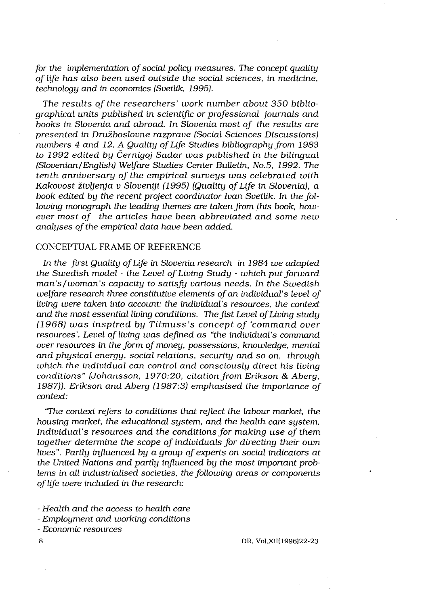for the implementation of social policy measures. The concept quality of life has also been used outside the social sciences, in medicine, technology and in economics (Svetlik, 1995).

The results of the researchers' work number about 350 bibliographical units published in scientific or professional journals and books in Slovenia and abroad. In Slovenia most of the results are presented in Družboslovne razprave (Social Sciences Discussions) numbers 4 and 12 . A Quality of Life Studies bibliography from 1983 to 1992 edited by Cernigoj Sadar was published in the bilingual (Slovenian/English) Welfare Studies Center Bulletin, No .5, 1992. The tenth anniversary of the empirical surveys was celebrated with Kakovost življenja v Sloveniji (1995) (Quality of Life in Slovenia), a book edited by the recent project coordinator Ivan Svetlik. In the following monograph the leading themes are taken from this book, however most of the articles have been abbreviated and some new analyses of the empirical data have been added.

## CONCEPTUAL FRAME OF REFERENCE

In the first Quality of Life in Slovenia research in 1984 we adapted the Swedish model - the Level of Living Study - which put forward man's/woman's capacity to satisfy various needs. In the Swedish welfare research three constitutive elements of an individual's level of living were taken into account: the individual's resources, the context and the most essential living conditions. The fist Level of Living study (1968) was inspired by Titmuss's concept of `command over resources'. Level of living was defined as "the individual's command over resources in the form of money, possessions, knowledge, mental and physical energy, social relations, security and so on, through which the individual can control and consciously direct his living conditions" (Johansson, 1970:20, citation from Erikson & Aberg, 1987)). Erikson and Aberg (1987:3) emphasised the importance of context:

"The context refers to conditions that reflect the labour market, the housing market, the educational system, and the health care system. Individual's resources and the conditions for making use of them together determine the scope of individuals for directing their own lives". Partly influenced by a group of experts on social indicators at the United Nations and partly influenced by the most important problems in all industrialised societies, the following areas or components of life were included in the research:

Health and the access to health care

Employment and working conditions

Economic resources

8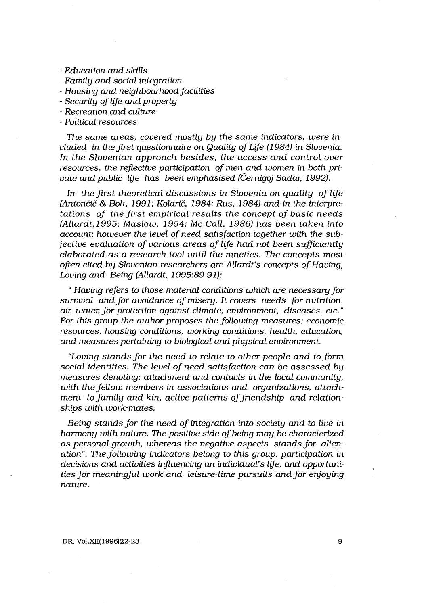- Education and skills
- Family and social integration
- Housing and neighbourhood facilities
- Security of life and property
- Recreation and culture
- Political resources

The same areas, covered mostly by the same indicators, were included in the first questionnaire on Quality of Life (1984) in Slovenia. In the Slovenian approach besides, the access and control over resources, the reflective participation of men and women in both private and public life has been emphasised (Černigoj Sadar, 1992).

In the first theoretical discussions in Slovenia on quality of life (Antončič & Boh, 1991; Kolarič, 1984: Rus, 1984) and in the interpretations of the first empirical results the concept of basic needs (Allardt, 1995; Maslow, 1954; Mc Call, 1986) has been taken into account; however the level of need satisfaction together with the subjective evaluation of various areas of life had not been sufficiently elaborated as a research tool until the nineties. The concepts most often cited by Slovenian researchers are Allardt's concepts of Having, Loving and Being (Allardt, 1995:89-91):

" Having refers to those material conditions which are necessary for survival and for avoidance of misery. It covers needs for nutrition, air, water, for protection against climate, environment, diseases, etc." For this group the author proposes the following measures: economic resources, housing conditions, working conditions, health, education, and measures pertaining to biological and physical environment.

"Loving stands for the need to relate to other people and to form social identities. The level of need satisfaction can be assessed by measures denoting: attachment and contacts in the local community, with the fellow members in associations and organizations, attachment to family and kin, active patterns of friendship and relationships with work-mates.

Being stands for the need of integration into society and to live in harmony with nature. The positive side of being may be characterized as personal growth, whereas the negative aspects stands for alienation". The following indicators belong to this group: participation in decisions and activities influencing an individual's life, and opportunities for meaningful work and leisure-time pursuits and for enjoying nature.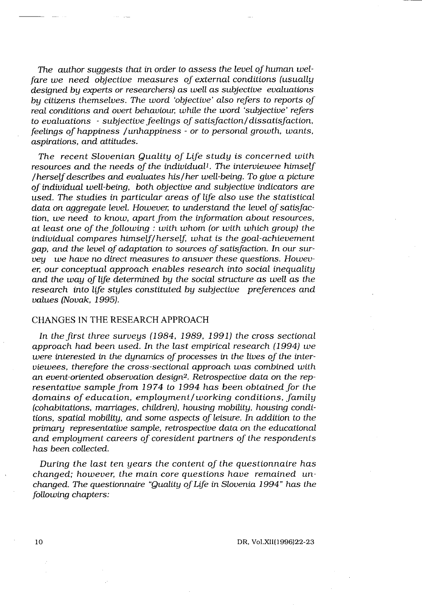The author suggests that in order to assess the level of human welfare we need objective measures of external conditions (usually designed by experts or researchers) as well as subjective evaluations by citizens themselves. The word 'objective' also refers to reports of real conditions and overt behaviour, while the word `subjective' refers to evaluations - subjective feelings of satisfaction/dissatisfaction, feelings of happiness /unhappiness - or to personal growth, wants, aspirations, and attitudes.

The recent Slovenian Quality of Life study is concerned with resources and the needs of the individual<sup>1</sup>. The interviewee himself /herself describes and evaluates his/her well-being . To give a picture of individual well-being, both objective and subjective indicators are used. The studies in particular areas of life also use the statistical data on aggregate level. However, to understand the level of satisfaction, we need to know, apart from the information about resources, at least one of the following : with whom (or with which group) the individual compares himself/herself, what is the goal-achievement gap, and the level of adaptation to sources of satisfaction. In our survey we have no direct measures to answer these questions. However, our conceptual approach enables research into social inequality and the way of life determined by the social structure as well as the research into life styles constituted by subjective preferences and values (Novak, 1995).

### CHANGES IN THE RESEARCH APPROACH

In the first three surveys (1984, 1989, 1991) the cross sectional approach had been used. In the last empirical research (1994) we were interested in the dynamics of processes in the lives of the interviewees, therefore the cross-sectional approach was combined with an event-oriented observation design<sup>2</sup>. Retrospective data on the representative sample from 1974 to 1994 has been obtained for the domains of education, employment/working conditions, family (cohabitations, marriages, children), housing mobility, housing conditions, spatial mobility, and some aspects of leisure . In addition to the primary representative sample, retrospective data on the educational and employment careers of coresident partners of the respondents has been collected.

During the last ten years the content of the questionnaire has changed; however, the main core questions have remained unchanged. The questionnaire "Quality of Life in Slovenia 1994" has the following chapters: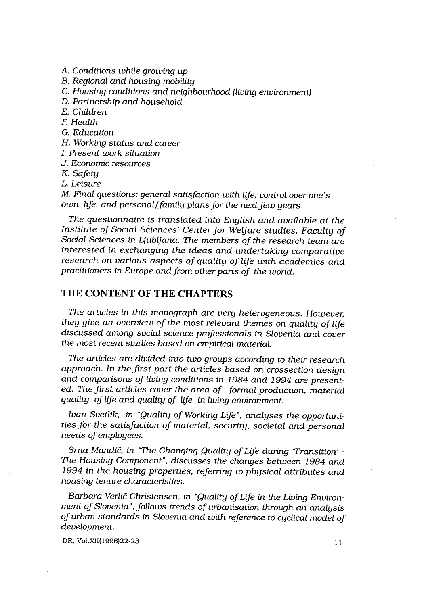A. Conditions while growing up B. Regional and housing mobility C. Housing conditions and neighbourhood (living environment) D. Partnership and household E. Children F. Health G. Education H. Working status and career I. Present work situation J. Economic resources K. Safety L. Leisure M. Final questions: general satisfaction with life, control over one's own life, and personal/family plans for the next few years

The questionnaire is translated into English and available at the Institute of Social Sciences' Center for Welfare studies, Faculty of Social Sciences in Ljubljana. The members of the research team are interested in exchanging the ideas and undertaking comparative research on various aspects of quality of life with academics and practitioners in Europe and from other parts of the world.

# THE CONTENT OF THE CHAPTERS

The articles in this monograph are very heterogeneous. However, they give an overview of the most relevant themes on quality of life discussed among social science professionals in Slovenia and cover the most recent studies based on empirical material.

The articles are divided into two groups according to their research approach. In the first part the articles based on crossection design and comparisons of living conditions in 1984 and 1994 are presented. The first articles cover the area of formal production, material quality of life and quality of life in living environment.

Ivan Svetlik, in "Quality of Working Life", analyses the opportunities for the satisfaction of material, security, societal and personal needs of employees.

Srna Mandic, in "The Changing Quality of Life during Transition' - The Housing Component", discusses the changes between 1984 and 1994 in the housing properties, referring to physical attributes and housing tenure characteristics .

Barbara Verlic Christensen, in "Quality of Life in the Living Environment of Slovenia", follows trends of urbanisation through an analysis of urban standards in Slovenia and with reference to cyclical model of development.

DR, Vol .XII(1996)22-23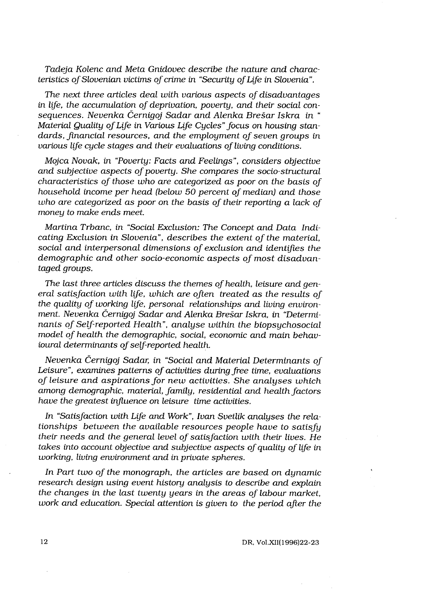Tadeja Kolenc and Meta Gnidovec describe the nature and characteristics of Slovenian victims of crime in "Security of Life in Slovenia" .

The next three articles deal with various aspects of disadvantages in life, the accumulation of deprivation, poverty, and their social consequences. Nevenka Cernigoj Sadar and Alenka Bresar Iskra in " Material Quality of Life in Various Life Cycles" focus on housing standards, financial resources, and the employment of seven groups in various life cycle stages and their evaluations of living conditions.

Mojca Novak, in "Poverty: Facts and Feelings", considers objective and subjective aspects of poverty. She compares the socio-structural characteristics of those who are categorized as poor on the basis of household income per head (below 50 percent of median) and those who are categorized as poor on the basis of their reporting a lack of money to make ends meet.

Martina Trbanc, in "Social Exclusion: The Concept and Data Indicating Exclusion in Slovenia", describes the extent of the material, social and interpersonal dimensions of exclusion and identifies the demographic and other socio-economic aspects of most disadvantaged groups.

The last three articles discuss the themes of health, leisure and general satisfaction with life, which are often treated as the results of the quality of working life, personal relationships and living environment. Nevenka Cernigoj Sadar and Alenka Bresar Iskra, in "Determinants of Self-reported Health", analyse within the biopsychosocial model of health the demographic, social, economic and main behavioural determinants of self-reported health.

Nevenka Cernigoj Sadar, in "Social and Material Determinants of Leisure", examines patterns of activities during free time, evaluations of leisure and aspirations for new activities. She analyses which among demographic, material, family, residential and health factors have the greatest influence on leisure time activities.

In "Satisfaction with Life and Work", Ivan Svetlik analyses the relationships between the available resources people have to satisfy their needs and the general level of satisfaction with their lives. He takes into account objective and subjective aspects of quality of life in working, living environment and in private spheres.

In Part two of the monograph, the articles are based on dynamic research design using event history analysis to describe and explain the changes in the last twenty years in the areas of labour market, work and education. Special attention is given to the period after the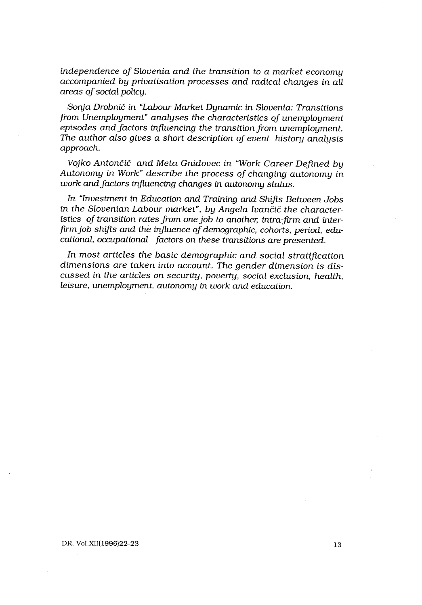independence of Slovenia and the transition to a market economy accompanied by privatisation processes and radical changes in all areas of social policy.

Sonja Drobnič in "Labour Market Dynamic in Slovenia: Transitions from Unemployment" analyses the characteristics of unemployment episodes and factors influencing the transition from unemployment. The author also gives a short description of event history analysis approach.

Vojko Antončič and Meta Gnidovec in "Work Career Defined by Autonomy in Work" describe the process of changing autonomy in work and factors influencing changes in autonomy status.

In "Investment in Education and Training and Shifts Between Jobs in the Slovenian Labour market", by Angela Ivančič the characteristics of transition rates from one job to another, intra-firm and interfirm job shifts and the influence of demographic, cohorts, period, educational, occupational factors on these transitions are presented.

In most articles the basic demographic and social stratification dimensions are taken into account. The gender dimension is discussed in the articles on security, poverty, social exclusion, health, leisure, unemployment, autonomy in work and education.

### DR, Vol.XII(1996)22-23 13